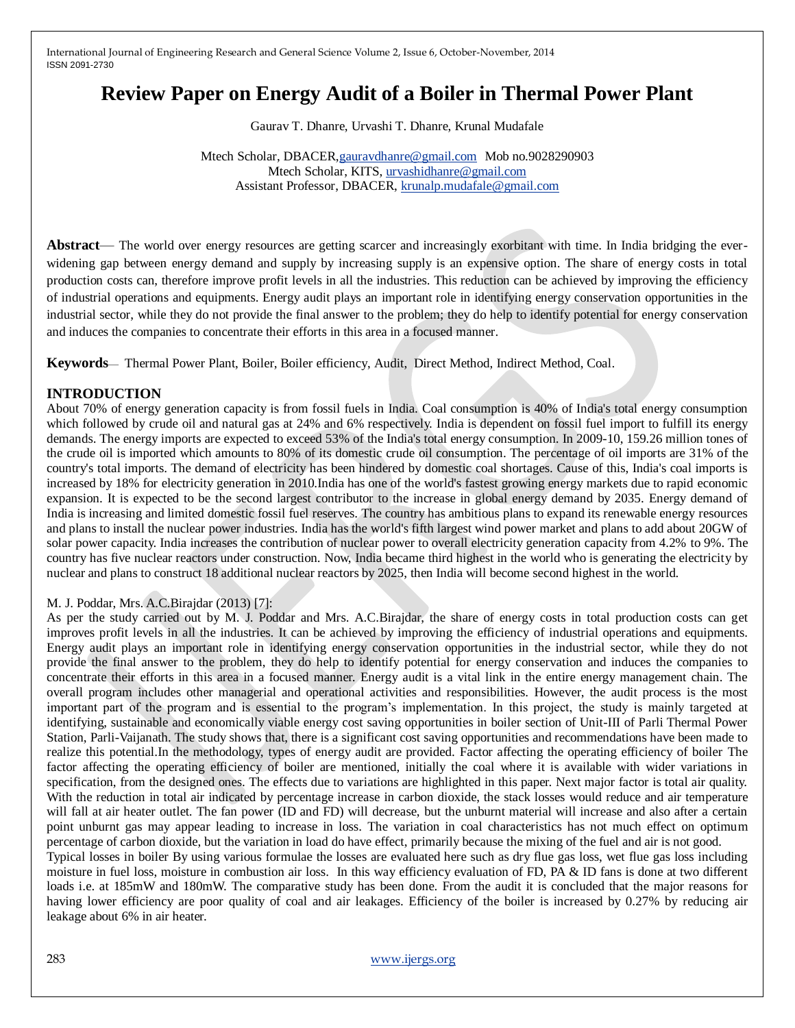# **Review Paper on Energy Audit of a Boiler in Thermal Power Plant**

Gaurav T. Dhanre, Urvashi T. Dhanre, Krunal Mudafale

Mtech Scholar, DBACER[,gauravdhanre@gmail.com](mailto:gauravdhanre@gmail.com) Mob no.9028290903 Mtech Scholar, KITS, [urvashidhanre@gmail.com](mailto:urvashidhanre@gmail.com) Assistant Professor, DBACER, [krunalp.mudafale@gmail.com](mailto:krunalp.mudafale@gmail.com) 

**Abstract**— The world over energy resources are getting scarcer and increasingly exorbitant with time. In India bridging the everwidening gap between energy demand and supply by increasing supply is an expensive option. The share of energy costs in total production costs can, therefore improve profit levels in all the industries. This reduction can be achieved by improving the efficiency of industrial operations and equipments. Energy audit plays an important role in identifying energy conservation opportunities in the industrial sector, while they do not provide the final answer to the problem; they do help to identify potential for energy conservation and induces the companies to concentrate their efforts in this area in a focused manner.

**Keywords**— Thermal Power Plant, Boiler, Boiler efficiency, Audit, Direct Method, Indirect Method, Coal.

# **INTRODUCTION**

About 70% of energy generation capacity is from fossil fuels in India. Coal consumption is 40% of India's total energy consumption which followed by crude oil and natural gas at 24% and 6% respectively. India is dependent on fossil fuel import to fulfill its energy demands. The energy imports are expected to exceed 53% of the India's total energy consumption. In 2009-10, 159.26 million tones of the crude oil is imported which amounts to 80% of its domestic crude oil consumption. The percentage of oil imports are 31% of the country's total imports. The demand of electricity has been hindered by domestic coal shortages. Cause of this, India's coal imports is increased by 18% for electricity generation in 2010.India has one of the world's fastest growing energy markets due to rapid economic expansion. It is expected to be the second largest contributor to the increase in global energy demand by 2035. Energy demand of India is increasing and limited domestic fossil fuel reserves. The country has ambitious plans to expand its renewable energy resources and plans to install the nuclear power industries. India has the world's fifth largest wind power market and plans to add about 20GW of solar power capacity. India increases the contribution of nuclear power to overall electricity generation capacity from 4.2% to 9%. The country has five nuclear reactors under construction. Now, India became third highest in the world who is generating the electricity by nuclear and plans to construct 18 additional nuclear reactors by 2025, then India will become second highest in the world.

# M. J. Poddar, Mrs. A.C.Birajdar (2013) [7]:

As per the study carried out by M. J. Poddar and Mrs. A.C.Birajdar, the share of energy costs in total production costs can get improves profit levels in all the industries. It can be achieved by improving the efficiency of industrial operations and equipments. Energy audit plays an important role in identifying energy conservation opportunities in the industrial sector, while they do not provide the final answer to the problem, they do help to identify potential for energy conservation and induces the companies to concentrate their efforts in this area in a focused manner. Energy audit is a vital link in the entire energy management chain. The overall program includes other managerial and operational activities and responsibilities. However, the audit process is the most important part of the program and is essential to the program's implementation. In this project, the study is mainly targeted at identifying, sustainable and economically viable energy cost saving opportunities in boiler section of Unit-III of Parli Thermal Power Station, Parli-Vaijanath. The study shows that, there is a significant cost saving opportunities and recommendations have been made to realize this potential.In the methodology, types of energy audit are provided. Factor affecting the operating efficiency of boiler The factor affecting the operating efficiency of boiler are mentioned, initially the coal where it is available with wider variations in specification, from the designed ones. The effects due to variations are highlighted in this paper. Next major factor is total air quality. With the reduction in total air indicated by percentage increase in carbon dioxide, the stack losses would reduce and air temperature will fall at air heater outlet. The fan power (ID and FD) will decrease, but the unburnt material will increase and also after a certain point unburnt gas may appear leading to increase in loss. The variation in coal characteristics has not much effect on optimum percentage of carbon dioxide, but the variation in load do have effect, primarily because the mixing of the fuel and air is not good. Typical losses in boiler By using various formulae the losses are evaluated here such as dry flue gas loss, wet flue gas loss including

moisture in fuel loss, moisture in combustion air loss. In this way efficiency evaluation of FD, PA & ID fans is done at two different loads i.e. at 185mW and 180mW. The comparative study has been done. From the audit it is concluded that the major reasons for having lower efficiency are poor quality of coal and air leakages. Efficiency of the boiler is increased by 0.27% by reducing air leakage about 6% in air heater.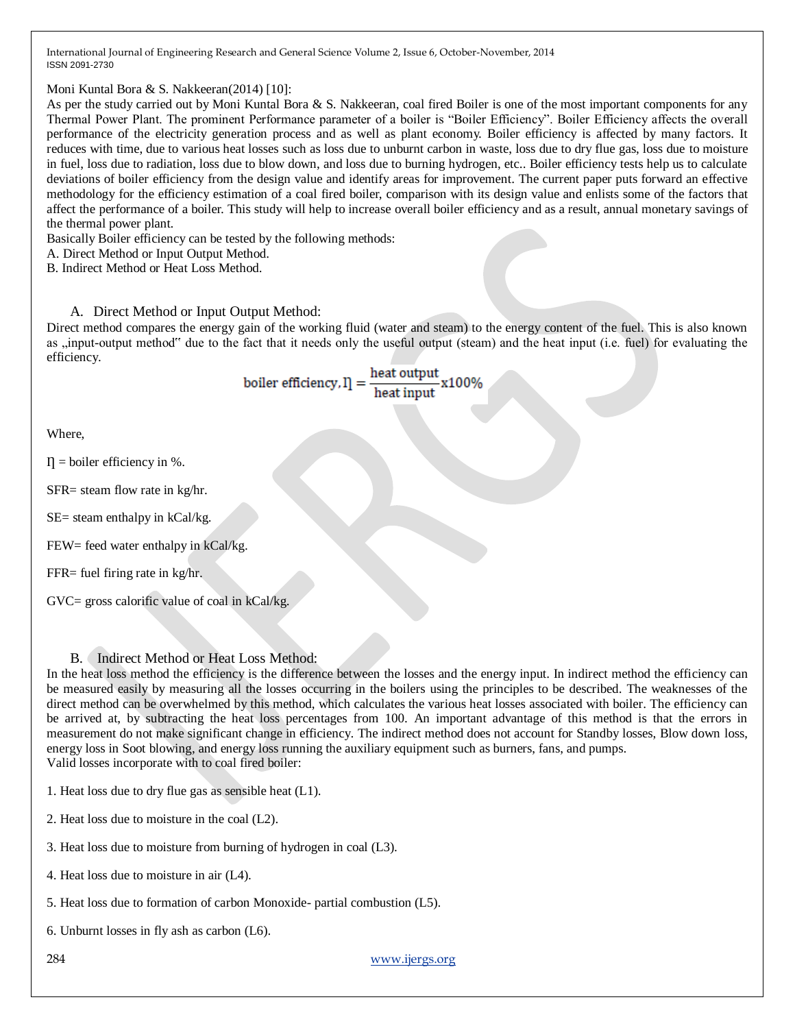Moni Kuntal Bora & S. Nakkeeran(2014) [10]:

As per the study carried out by Moni Kuntal Bora & S. Nakkeeran, coal fired Boiler is one of the most important components for any Thermal Power Plant. The prominent Performance parameter of a boiler is "Boiler Efficiency". Boiler Efficiency affects the overall performance of the electricity generation process and as well as plant economy. Boiler efficiency is affected by many factors. It reduces with time, due to various heat losses such as loss due to unburnt carbon in waste, loss due to dry flue gas, loss due to moisture in fuel, loss due to radiation, loss due to blow down, and loss due to burning hydrogen, etc.. Boiler efficiency tests help us to calculate deviations of boiler efficiency from the design value and identify areas for improvement. The current paper puts forward an effective methodology for the efficiency estimation of a coal fired boiler, comparison with its design value and enlists some of the factors that affect the performance of a boiler. This study will help to increase overall boiler efficiency and as a result, annual monetary savings of the thermal power plant.

Basically Boiler efficiency can be tested by the following methods:

A. Direct Method or Input Output Method.

B. Indirect Method or Heat Loss Method.

# A. Direct Method or Input Output Method:

Direct method compares the energy gain of the working fluid (water and steam) to the energy content of the fuel. This is also known as , input-output method" due to the fact that it needs only the useful output (steam) and the heat input (i.e. fuel) for evaluating the efficiency.

boiler efficiency,  $I = \frac{\text{heat output}}{\text{heat input}}$  x100%

Where,

 $\Pi$  = boiler efficiency in %.

SFR= steam flow rate in kg/hr.

 $SE$ = steam enthalpy in  $kCal/kg$ .

FEW= feed water enthalpy in kCal/kg.

FFR= fuel firing rate in kg/hr.

GVC= gross calorific value of coal in kCal/kg.

# B. Indirect Method or Heat Loss Method:

In the heat loss method the efficiency is the difference between the losses and the energy input. In indirect method the efficiency can be measured easily by measuring all the losses occurring in the boilers using the principles to be described. The weaknesses of the direct method can be overwhelmed by this method, which calculates the various heat losses associated with boiler. The efficiency can be arrived at, by subtracting the heat loss percentages from 100. An important advantage of this method is that the errors in measurement do not make significant change in efficiency. The indirect method does not account for Standby losses, Blow down loss, energy loss in Soot blowing, and energy loss running the auxiliary equipment such as burners, fans, and pumps. Valid losses incorporate with to coal fired boiler:

1. Heat loss due to dry flue gas as sensible heat (L1).

2. Heat loss due to moisture in the coal (L2).

3. Heat loss due to moisture from burning of hydrogen in coal (L3).

4. Heat loss due to moisture in air (L4).

5. Heat loss due to formation of carbon Monoxide- partial combustion (L5).

6. Unburnt losses in fly ash as carbon (L6).

284 [www.ijergs.org](http://www.ijergs.org/)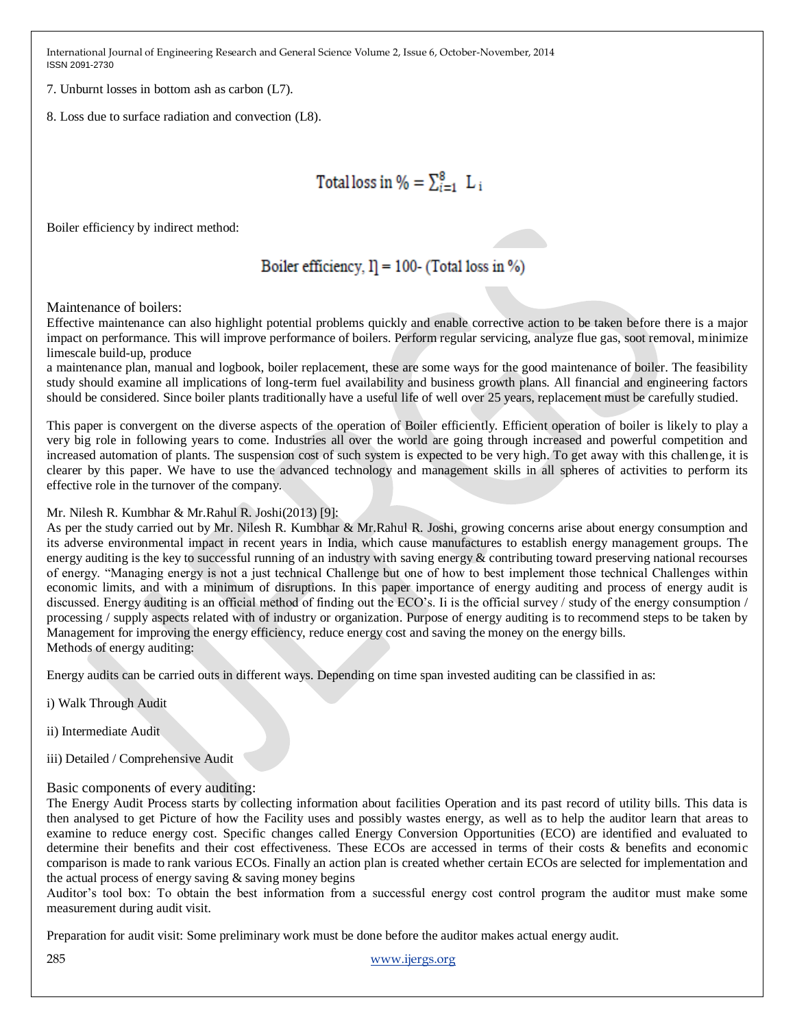7. Unburnt losses in bottom ash as carbon (L7).

8. Loss due to surface radiation and convection (L8).

# Total loss in  $\% = \sum_{i=1}^{8} L_i$

Boiler efficiency by indirect method:

# Boiler efficiency,  $I = 100$ - (Total loss in %)

Maintenance of boilers:

Effective maintenance can also highlight potential problems quickly and enable corrective action to be taken before there is a major impact on performance. This will improve performance of boilers. Perform regular servicing, analyze flue gas, soot removal, minimize limescale build-up, produce

a maintenance plan, manual and logbook, boiler replacement, these are some ways for the good maintenance of boiler. The feasibility study should examine all implications of long-term fuel availability and business growth plans. All financial and engineering factors should be considered. Since boiler plants traditionally have a useful life of well over 25 years, replacement must be carefully studied.

This paper is convergent on the diverse aspects of the operation of Boiler efficiently. Efficient operation of boiler is likely to play a very big role in following years to come. Industries all over the world are going through increased and powerful competition and increased automation of plants. The suspension cost of such system is expected to be very high. To get away with this challenge, it is clearer by this paper. We have to use the advanced technology and management skills in all spheres of activities to perform its effective role in the turnover of the company.

Mr. Nilesh R. Kumbhar & Mr.Rahul R. Joshi(2013) [9]:

As per the study carried out by Mr. Nilesh R. Kumbhar & Mr.Rahul R. Joshi, growing concerns arise about energy consumption and its adverse environmental impact in recent years in India, which cause manufactures to establish energy management groups. The energy auditing is the key to successful running of an industry with saving energy  $\&$  contributing toward preserving national recourses of energy. "Managing energy is not a just technical Challenge but one of how to best implement those technical Challenges within economic limits, and with a minimum of disruptions. In this paper importance of energy auditing and process of energy audit is discussed. Energy auditing is an official method of finding out the ECO's. Ii is the official survey / study of the energy consumption / processing / supply aspects related with of industry or organization. Purpose of energy auditing is to recommend steps to be taken by Management for improving the energy efficiency, reduce energy cost and saving the money on the energy bills. Methods of energy auditing:

Energy audits can be carried outs in different ways. Depending on time span invested auditing can be classified in as:

i) Walk Through Audit

ii) Intermediate Audit

iii) Detailed / Comprehensive Audit

# Basic components of every auditing:

The Energy Audit Process starts by collecting information about facilities Operation and its past record of utility bills. This data is then analysed to get Picture of how the Facility uses and possibly wastes energy, as well as to help the auditor learn that areas to examine to reduce energy cost. Specific changes called Energy Conversion Opportunities (ECO) are identified and evaluated to determine their benefits and their cost effectiveness. These ECOs are accessed in terms of their costs & benefits and economic comparison is made to rank various ECOs. Finally an action plan is created whether certain ECOs are selected for implementation and the actual process of energy saving  $\&$  saving money begins

Auditor's tool box: To obtain the best information from a successful energy cost control program the auditor must make some measurement during audit visit.

Preparation for audit visit: Some preliminary work must be done before the auditor makes actual energy audit.

285 [www.ijergs.org](http://www.ijergs.org/)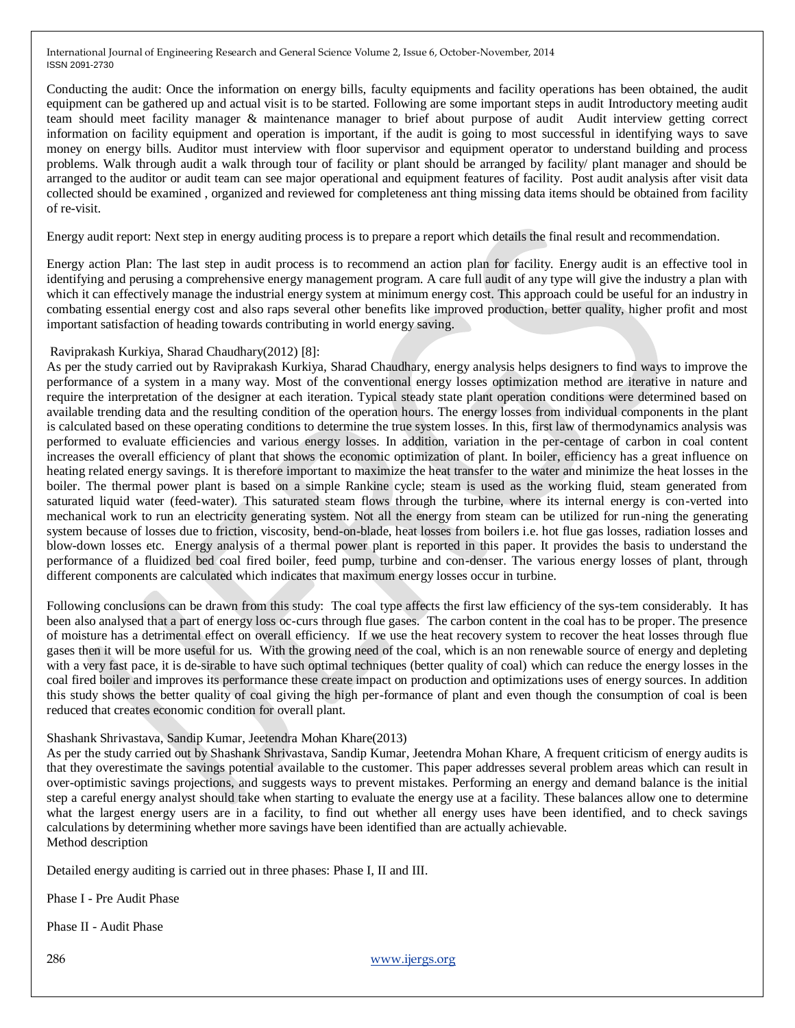Conducting the audit: Once the information on energy bills, faculty equipments and facility operations has been obtained, the audit equipment can be gathered up and actual visit is to be started. Following are some important steps in audit Introductory meeting audit team should meet facility manager & maintenance manager to brief about purpose of audit Audit interview getting correct information on facility equipment and operation is important, if the audit is going to most successful in identifying ways to save money on energy bills. Auditor must interview with floor supervisor and equipment operator to understand building and process problems. Walk through audit a walk through tour of facility or plant should be arranged by facility/ plant manager and should be arranged to the auditor or audit team can see major operational and equipment features of facility. Post audit analysis after visit data collected should be examined , organized and reviewed for completeness ant thing missing data items should be obtained from facility of re-visit.

Energy audit report: Next step in energy auditing process is to prepare a report which details the final result and recommendation.

Energy action Plan: The last step in audit process is to recommend an action plan for facility. Energy audit is an effective tool in identifying and perusing a comprehensive energy management program. A care full audit of any type will give the industry a plan with which it can effectively manage the industrial energy system at minimum energy cost. This approach could be useful for an industry in combating essential energy cost and also raps several other benefits like improved production, better quality, higher profit and most important satisfaction of heading towards contributing in world energy saving.

#### Raviprakash Kurkiya, Sharad Chaudhary(2012) [8]:

As per the study carried out by Raviprakash Kurkiya, Sharad Chaudhary, energy analysis helps designers to find ways to improve the performance of a system in a many way. Most of the conventional energy losses optimization method are iterative in nature and require the interpretation of the designer at each iteration. Typical steady state plant operation conditions were determined based on available trending data and the resulting condition of the operation hours. The energy losses from individual components in the plant is calculated based on these operating conditions to determine the true system losses. In this, first law of thermodynamics analysis was performed to evaluate efficiencies and various energy losses. In addition, variation in the per-centage of carbon in coal content increases the overall efficiency of plant that shows the economic optimization of plant. In boiler, efficiency has a great influence on heating related energy savings. It is therefore important to maximize the heat transfer to the water and minimize the heat losses in the boiler. The thermal power plant is based on a simple Rankine cycle; steam is used as the working fluid, steam generated from saturated liquid water (feed-water). This saturated steam flows through the turbine, where its internal energy is con-verted into mechanical work to run an electricity generating system. Not all the energy from steam can be utilized for run-ning the generating system because of losses due to friction, viscosity, bend-on-blade, heat losses from boilers i.e. hot flue gas losses, radiation losses and blow-down losses etc. Energy analysis of a thermal power plant is reported in this paper. It provides the basis to understand the performance of a fluidized bed coal fired boiler, feed pump, turbine and con-denser. The various energy losses of plant, through different components are calculated which indicates that maximum energy losses occur in turbine.

Following conclusions can be drawn from this study: The coal type affects the first law efficiency of the sys-tem considerably. It has been also analysed that a part of energy loss oc-curs through flue gases. The carbon content in the coal has to be proper. The presence of moisture has a detrimental effect on overall efficiency. If we use the heat recovery system to recover the heat losses through flue gases then it will be more useful for us. With the growing need of the coal, which is an non renewable source of energy and depleting with a very fast pace, it is de-sirable to have such optimal techniques (better quality of coal) which can reduce the energy losses in the coal fired boiler and improves its performance these create impact on production and optimizations uses of energy sources. In addition this study shows the better quality of coal giving the high per-formance of plant and even though the consumption of coal is been reduced that creates economic condition for overall plant.

### Shashank Shrivastava, Sandip Kumar, Jeetendra Mohan Khare(2013)

As per the study carried out by Shashank Shrivastava, Sandip Kumar, Jeetendra Mohan Khare, A frequent criticism of energy audits is that they overestimate the savings potential available to the customer. This paper addresses several problem areas which can result in over-optimistic savings projections, and suggests ways to prevent mistakes. Performing an energy and demand balance is the initial step a careful energy analyst should take when starting to evaluate the energy use at a facility. These balances allow one to determine what the largest energy users are in a facility, to find out whether all energy uses have been identified, and to check savings calculations by determining whether more savings have been identified than are actually achievable. Method description

Detailed energy auditing is carried out in three phases: Phase I, II and III.

Phase I - Pre Audit Phase

Phase II - Audit Phase

286 [www.ijergs.org](http://www.ijergs.org/)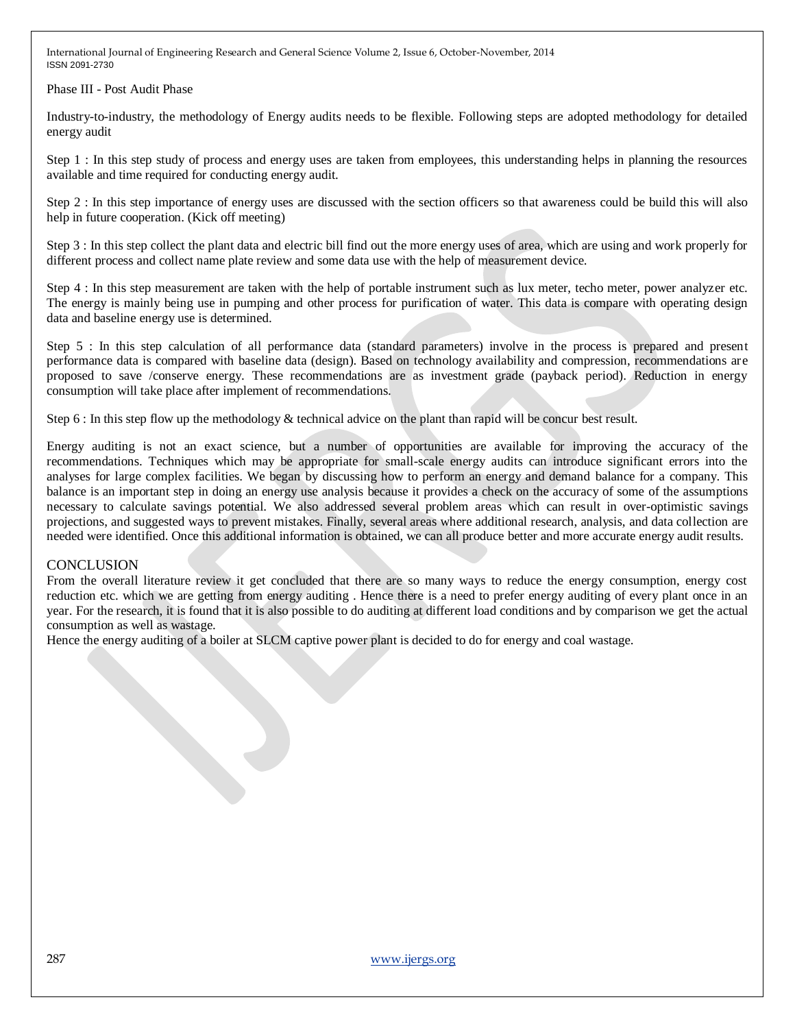Phase III - Post Audit Phase

Industry-to-industry, the methodology of Energy audits needs to be flexible. Following steps are adopted methodology for detailed energy audit

Step 1 : In this step study of process and energy uses are taken from employees, this understanding helps in planning the resources available and time required for conducting energy audit.

Step 2 : In this step importance of energy uses are discussed with the section officers so that awareness could be build this will also help in future cooperation. (Kick off meeting)

Step 3 : In this step collect the plant data and electric bill find out the more energy uses of area, which are using and work properly for different process and collect name plate review and some data use with the help of measurement device.

Step 4 : In this step measurement are taken with the help of portable instrument such as lux meter, techo meter, power analyzer etc. The energy is mainly being use in pumping and other process for purification of water. This data is compare with operating design data and baseline energy use is determined.

Step 5 : In this step calculation of all performance data (standard parameters) involve in the process is prepared and present performance data is compared with baseline data (design). Based on technology availability and compression, recommendations are proposed to save /conserve energy. These recommendations are as investment grade (payback period). Reduction in energy consumption will take place after implement of recommendations.

Step 6 : In this step flow up the methodology & technical advice on the plant than rapid will be concur best result.

Energy auditing is not an exact science, but a number of opportunities are available for improving the accuracy of the recommendations. Techniques which may be appropriate for small-scale energy audits can introduce significant errors into the analyses for large complex facilities. We began by discussing how to perform an energy and demand balance for a company. This balance is an important step in doing an energy use analysis because it provides a check on the accuracy of some of the assumptions necessary to calculate savings potential. We also addressed several problem areas which can result in over-optimistic savings projections, and suggested ways to prevent mistakes. Finally, several areas where additional research, analysis, and data collection are needed were identified. Once this additional information is obtained, we can all produce better and more accurate energy audit results.

### **CONCLUSION**

From the overall literature review it get concluded that there are so many ways to reduce the energy consumption, energy cost reduction etc. which we are getting from energy auditing . Hence there is a need to prefer energy auditing of every plant once in an year. For the research, it is found that it is also possible to do auditing at different load conditions and by comparison we get the actual consumption as well as wastage.

Hence the energy auditing of a boiler at SLCM captive power plant is decided to do for energy and coal wastage.